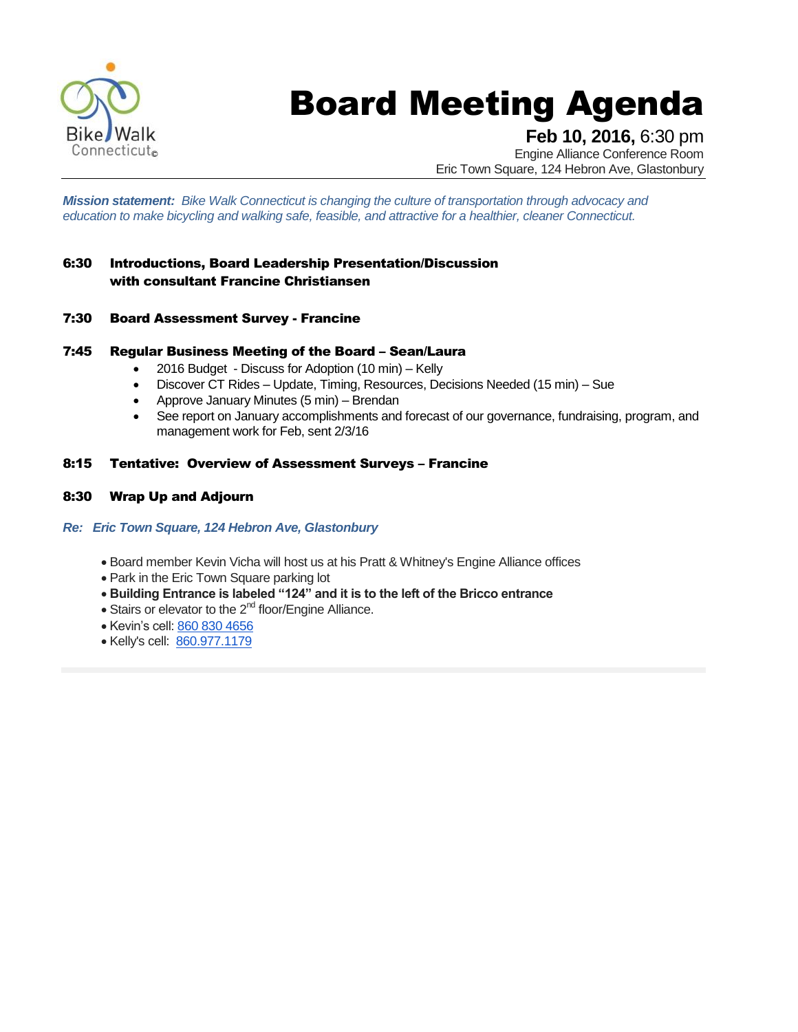

# Board Meeting Agenda

**Feb 10, 2016,** 6:30 pm

Engine Alliance Conference Room Eric Town Square, 124 Hebron Ave, Glastonbury

*Mission statement: Bike Walk Connecticut is changing the culture of transportation through advocacy and education to make bicycling and walking safe, feasible, and attractive for a healthier, cleaner Connecticut.*

#### 6:30 Introductions, Board Leadership Presentation/Discussion with consultant Francine Christiansen

7:30 Board Assessment Survey - Francine

#### 7:45 Regular Business Meeting of the Board – Sean/Laura

- 2016 Budget Discuss for Adoption (10 min) Kelly
- Discover CT Rides Update, Timing, Resources, Decisions Needed (15 min) Sue
- Approve January Minutes (5 min) Brendan
- See report on January accomplishments and forecast of our governance, fundraising, program, and management work for Feb, sent 2/3/16

#### 8:15 Tentative: Overview of Assessment Surveys – Francine

8:30 Wrap Up and Adjourn

#### *Re: Eric Town Square, 124 Hebron Ave, Glastonbury*

- Board member Kevin Vicha will host us at his Pratt & Whitney's Engine Alliance offices
- Park in the Eric Town Square parking lot
- **Building Entrance is labeled "124" and it is to the left of the Bricco entrance**
- $\bullet$  Stairs or elevator to the 2<sup>nd</sup> floor/Engine Alliance.
- Kevin's cell: [860 830 4656](tel:860%20830%204656)
- Kelly's cell: [860.977.1179](tel:860.977.1179)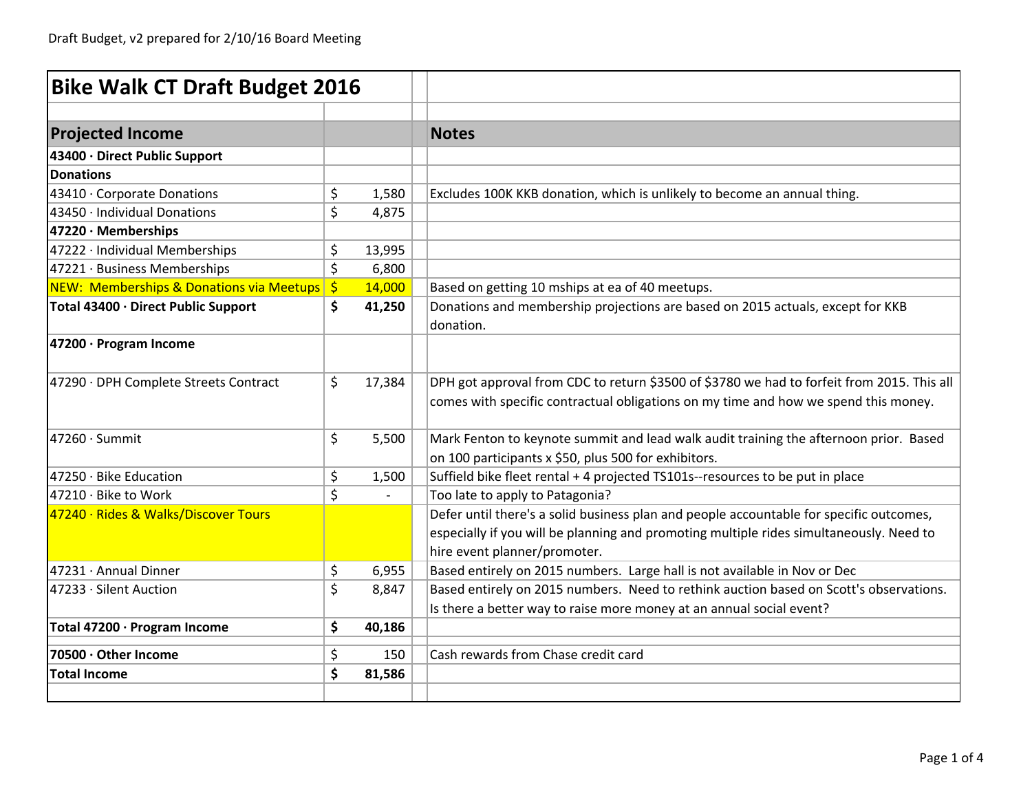| <b>Bike Walk CT Draft Budget 2016</b>       |         |        |                                                                                                                                                                                                                    |
|---------------------------------------------|---------|--------|--------------------------------------------------------------------------------------------------------------------------------------------------------------------------------------------------------------------|
|                                             |         |        |                                                                                                                                                                                                                    |
| <b>Projected Income</b>                     |         |        | <b>Notes</b>                                                                                                                                                                                                       |
| 43400 · Direct Public Support               |         |        |                                                                                                                                                                                                                    |
| <b>Donations</b>                            |         |        |                                                                                                                                                                                                                    |
| 43410 · Corporate Donations                 | \$      | 1,580  | Excludes 100K KKB donation, which is unlikely to become an annual thing.                                                                                                                                           |
| 43450 · Individual Donations                | $\zeta$ | 4,875  |                                                                                                                                                                                                                    |
| 47220 · Memberships                         |         |        |                                                                                                                                                                                                                    |
| 47222 · Individual Memberships              | \$      | 13,995 |                                                                                                                                                                                                                    |
| 47221 · Business Memberships                | \$      | 6,800  |                                                                                                                                                                                                                    |
| NEW: Memberships & Donations via Meetups \$ |         | 14,000 | Based on getting 10 mships at ea of 40 meetups.                                                                                                                                                                    |
| Total 43400 · Direct Public Support         | \$      | 41,250 | Donations and membership projections are based on 2015 actuals, except for KKB<br>donation.                                                                                                                        |
| 47200 · Program Income                      |         |        |                                                                                                                                                                                                                    |
| 47290 · DPH Complete Streets Contract       | \$      | 17,384 | DPH got approval from CDC to return \$3500 of \$3780 we had to forfeit from 2015. This all<br>comes with specific contractual obligations on my time and how we spend this money.                                  |
| $47260 \cdot$ Summit                        | \$      | 5,500  | Mark Fenton to keynote summit and lead walk audit training the afternoon prior. Based<br>on 100 participants x \$50, plus 500 for exhibitors.                                                                      |
| $47250 \cdot$ Bike Education                | \$      | 1,500  | Suffield bike fleet rental + 4 projected TS101s--resources to be put in place                                                                                                                                      |
| 47210 · Bike to Work                        | \$      |        | Too late to apply to Patagonia?                                                                                                                                                                                    |
| 47240 · Rides & Walks/Discover Tours        |         |        | Defer until there's a solid business plan and people accountable for specific outcomes,<br>especially if you will be planning and promoting multiple rides simultaneously. Need to<br>hire event planner/promoter. |
| 47231 · Annual Dinner                       | \$      | 6,955  | Based entirely on 2015 numbers. Large hall is not available in Nov or Dec                                                                                                                                          |
| 47233 · Silent Auction                      | \$      | 8,847  | Based entirely on 2015 numbers. Need to rethink auction based on Scott's observations.<br>Is there a better way to raise more money at an annual social event?                                                     |
| Total 47200 · Program Income                | \$      | 40,186 |                                                                                                                                                                                                                    |
| 70500 · Other Income                        | \$      | 150    | Cash rewards from Chase credit card                                                                                                                                                                                |
| <b>Total Income</b>                         | \$      | 81,586 |                                                                                                                                                                                                                    |
|                                             |         |        |                                                                                                                                                                                                                    |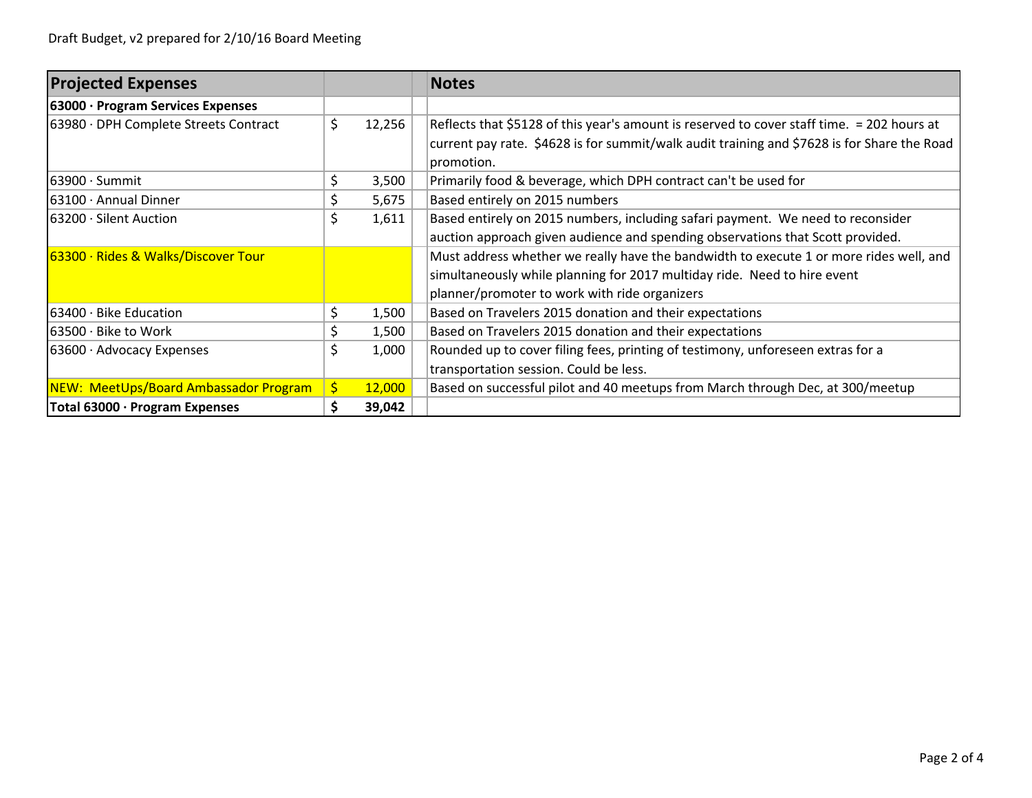| <b>Projected Expenses</b>                    |    |        | <b>Notes</b>                                                                                |  |  |  |  |  |
|----------------------------------------------|----|--------|---------------------------------------------------------------------------------------------|--|--|--|--|--|
| 63000 · Program Services Expenses            |    |        |                                                                                             |  |  |  |  |  |
| 63980 · DPH Complete Streets Contract        | \$ | 12,256 | Reflects that \$5128 of this year's amount is reserved to cover staff time. = 202 hours at  |  |  |  |  |  |
|                                              |    |        | current pay rate. \$4628 is for summit/walk audit training and \$7628 is for Share the Road |  |  |  |  |  |
|                                              |    |        | promotion.                                                                                  |  |  |  |  |  |
| $63900 \cdot$ Summit                         | Ś  | 3,500  | Primarily food & beverage, which DPH contract can't be used for                             |  |  |  |  |  |
| 63100 · Annual Dinner                        |    | 5,675  | Based entirely on 2015 numbers                                                              |  |  |  |  |  |
| 163200 · Silent Auction                      | \$ | 1,611  | Based entirely on 2015 numbers, including safari payment. We need to reconsider             |  |  |  |  |  |
|                                              |    |        | auction approach given audience and spending observations that Scott provided.              |  |  |  |  |  |
| 63300 · Rides & Walks/Discover Tour          |    |        | Must address whether we really have the bandwidth to execute 1 or more rides well, and      |  |  |  |  |  |
|                                              |    |        | simultaneously while planning for 2017 multiday ride. Need to hire event                    |  |  |  |  |  |
|                                              |    |        | planner/promoter to work with ride organizers                                               |  |  |  |  |  |
| 63400 · Bike Education                       | \$ | 1,500  | Based on Travelers 2015 donation and their expectations                                     |  |  |  |  |  |
| $63500 \cdot$ Bike to Work                   |    | 1,500  | Based on Travelers 2015 donation and their expectations                                     |  |  |  |  |  |
| $63600 \cdot$ Advocacy Expenses              | \$ | 1,000  | Rounded up to cover filing fees, printing of testimony, unforeseen extras for a             |  |  |  |  |  |
|                                              |    |        | transportation session. Could be less.                                                      |  |  |  |  |  |
| <b>NEW: MeetUps/Board Ambassador Program</b> | \$ | 12,000 | Based on successful pilot and 40 meetups from March through Dec, at 300/meetup              |  |  |  |  |  |
| Total 63000 · Program Expenses               |    | 39,042 |                                                                                             |  |  |  |  |  |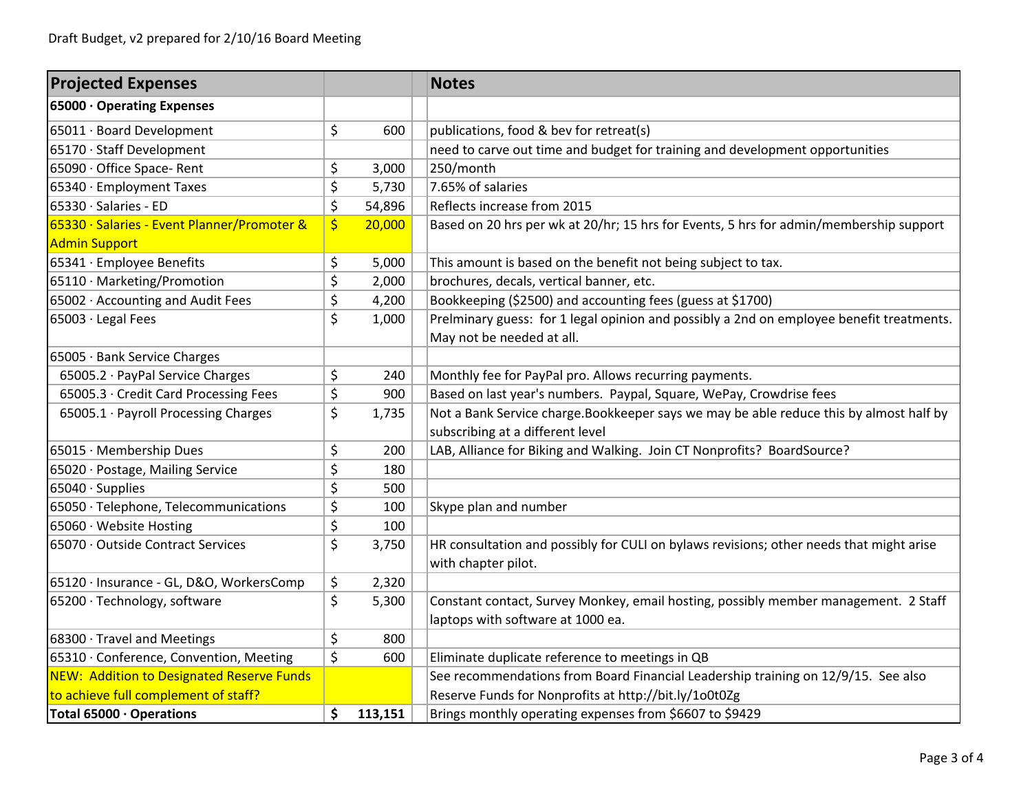| <b>Projected Expenses</b>                        |               | <b>Notes</b>                                                                             |  |  |  |  |
|--------------------------------------------------|---------------|------------------------------------------------------------------------------------------|--|--|--|--|
| 65000 · Operating Expenses                       |               |                                                                                          |  |  |  |  |
| 65011 · Board Development                        | \$<br>600     | publications, food & bev for retreat(s)                                                  |  |  |  |  |
| 65170 · Staff Development                        |               | need to carve out time and budget for training and development opportunities             |  |  |  |  |
| 65090 · Office Space- Rent                       | \$<br>3,000   | 250/month                                                                                |  |  |  |  |
| 65340 · Employment Taxes                         | \$<br>5,730   | 7.65% of salaries                                                                        |  |  |  |  |
| 65330 · Salaries - ED                            | \$<br>54,896  | Reflects increase from 2015                                                              |  |  |  |  |
| 65330 · Salaries - Event Planner/Promoter &      | \$<br>20,000  | Based on 20 hrs per wk at 20/hr; 15 hrs for Events, 5 hrs for admin/membership support   |  |  |  |  |
| <b>Admin Support</b>                             |               |                                                                                          |  |  |  |  |
| 65341 · Employee Benefits                        | \$<br>5,000   | This amount is based on the benefit not being subject to tax.                            |  |  |  |  |
| 65110 · Marketing/Promotion                      | \$<br>2,000   | brochures, decals, vertical banner, etc.                                                 |  |  |  |  |
| 65002 · Accounting and Audit Fees                | \$<br>4,200   | Bookkeeping (\$2500) and accounting fees (guess at \$1700)                               |  |  |  |  |
| 65003 · Legal Fees                               | \$<br>1,000   | Prelminary guess: for 1 legal opinion and possibly a 2nd on employee benefit treatments. |  |  |  |  |
|                                                  |               | May not be needed at all.                                                                |  |  |  |  |
| 65005 · Bank Service Charges                     |               |                                                                                          |  |  |  |  |
| 65005.2 · PayPal Service Charges                 | \$<br>240     | Monthly fee for PayPal pro. Allows recurring payments.                                   |  |  |  |  |
| 65005.3 · Credit Card Processing Fees            | \$<br>900     | Based on last year's numbers. Paypal, Square, WePay, Crowdrise fees                      |  |  |  |  |
| 65005.1 · Payroll Processing Charges             | \$<br>1,735   | Not a Bank Service charge. Bookkeeper says we may be able reduce this by almost half by  |  |  |  |  |
|                                                  |               | subscribing at a different level                                                         |  |  |  |  |
| 65015 · Membership Dues                          | \$<br>200     | LAB, Alliance for Biking and Walking. Join CT Nonprofits? BoardSource?                   |  |  |  |  |
| 65020 · Postage, Mailing Service                 | \$<br>180     |                                                                                          |  |  |  |  |
| 65040 · Supplies                                 | \$<br>500     |                                                                                          |  |  |  |  |
| 65050 · Telephone, Telecommunications            | \$<br>100     | Skype plan and number                                                                    |  |  |  |  |
| 65060 · Website Hosting                          | \$<br>100     |                                                                                          |  |  |  |  |
| 65070 · Outside Contract Services                | \$<br>3,750   | HR consultation and possibly for CULI on bylaws revisions; other needs that might arise  |  |  |  |  |
|                                                  |               | with chapter pilot.                                                                      |  |  |  |  |
| 65120 · Insurance - GL, D&O, WorkersComp         | \$<br>2,320   |                                                                                          |  |  |  |  |
| 65200 · Technology, software                     | \$<br>5,300   | Constant contact, Survey Monkey, email hosting, possibly member management. 2 Staff      |  |  |  |  |
|                                                  |               | laptops with software at 1000 ea.                                                        |  |  |  |  |
| 68300 · Travel and Meetings                      | \$<br>800     |                                                                                          |  |  |  |  |
| 65310 · Conference, Convention, Meeting          | \$<br>600     | Eliminate duplicate reference to meetings in QB                                          |  |  |  |  |
| <b>NEW: Addition to Designated Reserve Funds</b> |               | See recommendations from Board Financial Leadership training on 12/9/15. See also        |  |  |  |  |
| to achieve full complement of staff?             |               | Reserve Funds for Nonprofits at http://bit.ly/1o0t0Zg                                    |  |  |  |  |
| Total 65000 · Operations                         | \$<br>113,151 | Brings monthly operating expenses from \$6607 to \$9429                                  |  |  |  |  |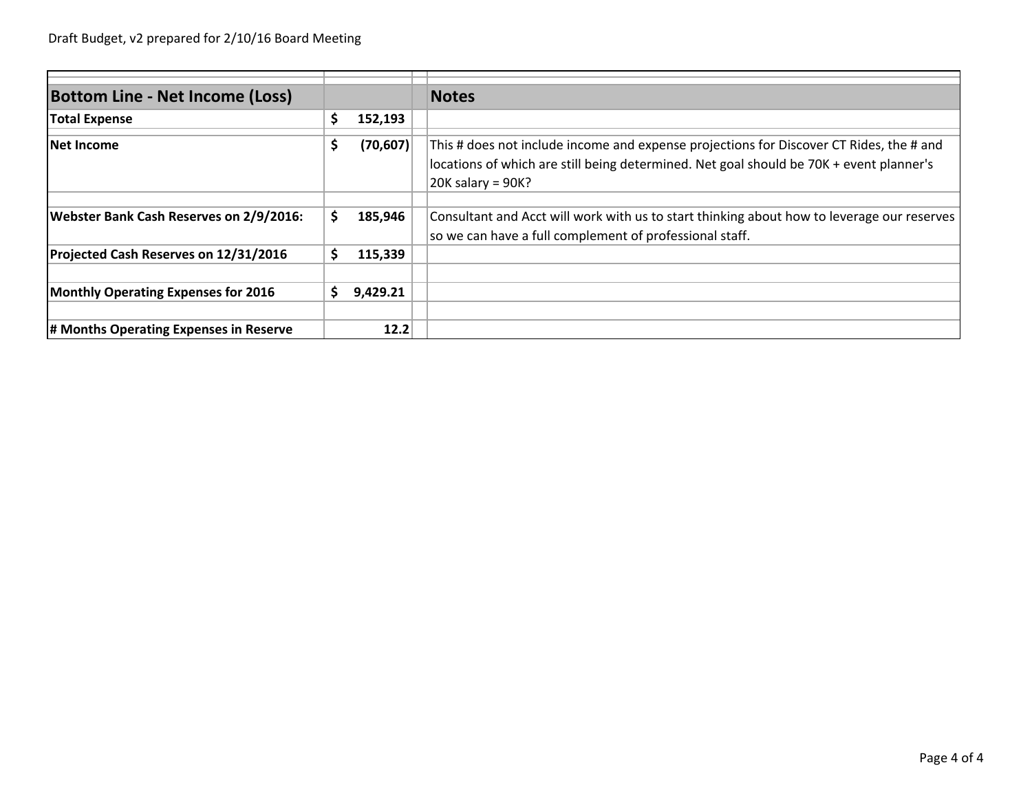| <b>Bottom Line - Net Income (Loss)</b>         |   |           | <b>Notes</b>                                                                                                                                                                                              |
|------------------------------------------------|---|-----------|-----------------------------------------------------------------------------------------------------------------------------------------------------------------------------------------------------------|
| <b>Total Expense</b>                           | S | 152,193   |                                                                                                                                                                                                           |
| <b>Net Income</b>                              | Ş | (70, 607) | This # does not include income and expense projections for Discover CT Rides, the # and<br>locations of which are still being determined. Net goal should be 70K + event planner's<br>$20K$ salary = 90K? |
| <b>Webster Bank Cash Reserves on 2/9/2016:</b> |   | 185,946   | Consultant and Acct will work with us to start thinking about how to leverage our reserves<br>so we can have a full complement of professional staff.                                                     |
| Projected Cash Reserves on 12/31/2016          |   | 115,339   |                                                                                                                                                                                                           |
| <b>Monthly Operating Expenses for 2016</b>     |   | 9,429.21  |                                                                                                                                                                                                           |
| # Months Operating Expenses in Reserve         |   | 12.2      |                                                                                                                                                                                                           |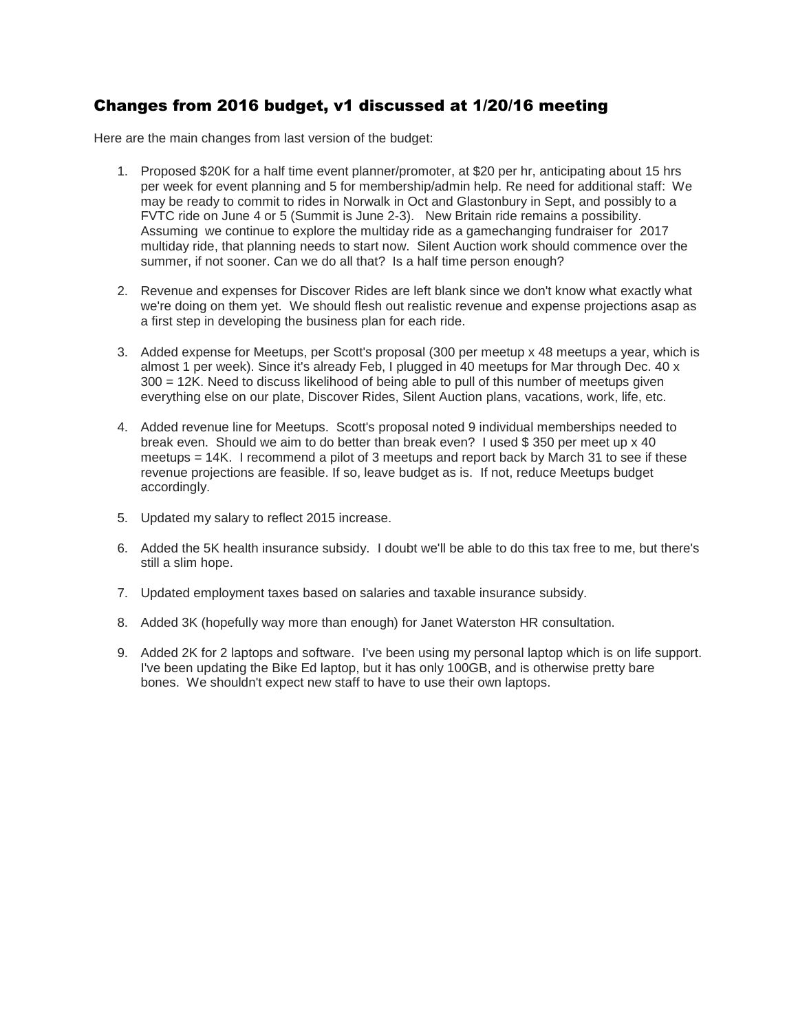#### Changes from 2016 budget, v1 discussed at 1/20/16 meeting

Here are the main changes from last version of the budget:

- 1. Proposed \$20K for a half time event planner/promoter, at \$20 per hr, anticipating about 15 hrs per week for event planning and 5 for membership/admin help. Re need for additional staff: We may be ready to commit to rides in Norwalk in Oct and Glastonbury in Sept, and possibly to a FVTC ride on June 4 or 5 (Summit is June 2-3). New Britain ride remains a possibility. Assuming we continue to explore the multiday ride as a gamechanging fundraiser for 2017 multiday ride, that planning needs to start now. Silent Auction work should commence over the summer, if not sooner. Can we do all that? Is a half time person enough?
- 2. Revenue and expenses for Discover Rides are left blank since we don't know what exactly what we're doing on them yet. We should flesh out realistic revenue and expense projections asap as a first step in developing the business plan for each ride.
- 3. Added expense for Meetups, per Scott's proposal (300 per meetup x 48 meetups a year, which is almost 1 per week). Since it's already Feb, I plugged in 40 meetups for Mar through Dec. 40 x 300 = 12K. Need to discuss likelihood of being able to pull of this number of meetups given everything else on our plate, Discover Rides, Silent Auction plans, vacations, work, life, etc.
- 4. Added revenue line for Meetups. Scott's proposal noted 9 individual memberships needed to break even. Should we aim to do better than break even? I used \$ 350 per meet up x 40 meetups = 14K. I recommend a pilot of 3 meetups and report back by March 31 to see if these revenue projections are feasible. If so, leave budget as is. If not, reduce Meetups budget accordingly.
- 5. Updated my salary to reflect 2015 increase.
- 6. Added the 5K health insurance subsidy. I doubt we'll be able to do this tax free to me, but there's still a slim hope.
- 7. Updated employment taxes based on salaries and taxable insurance subsidy.
- 8. Added 3K (hopefully way more than enough) for Janet Waterston HR consultation.
- 9. Added 2K for 2 laptops and software. I've been using my personal laptop which is on life support. I've been updating the Bike Ed laptop, but it has only 100GB, and is otherwise pretty bare bones. We shouldn't expect new staff to have to use their own laptops.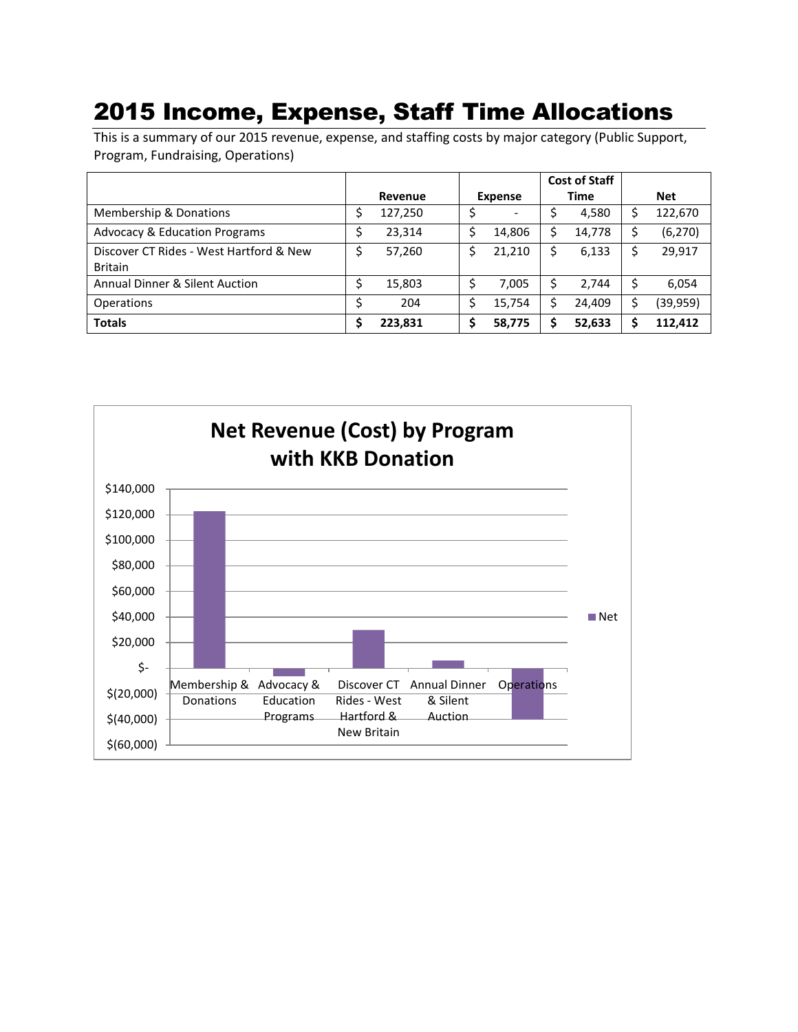### 2015 Income, Expense, Staff Time Allocations

This is a summary of our 2015 revenue, expense, and staffing costs by major category (Public Support, Program, Fundraising, Operations)

|                                           |         |         |                |                          |             | <b>Cost of Staff</b> |            |           |
|-------------------------------------------|---------|---------|----------------|--------------------------|-------------|----------------------|------------|-----------|
|                                           | Revenue |         | <b>Expense</b> |                          | <b>Time</b> |                      | <b>Net</b> |           |
| Membership & Donations                    |         | 127,250 |                | $\overline{\phantom{0}}$ |             | 4,580                | Ś          | 122,670   |
| <b>Advocacy &amp; Education Programs</b>  | Ş       | 23,314  |                | 14.806                   | Ś.          | 14,778               | S          | (6, 270)  |
| Discover CT Rides - West Hartford & New   | \$      | 57,260  | \$             | 21,210                   | Ś.          | 6,133                | S          | 29,917    |
| <b>Britain</b>                            |         |         |                |                          |             |                      |            |           |
| <b>Annual Dinner &amp; Silent Auction</b> | Ş       | 15,803  |                | 7,005                    | \$.         | 2,744                | \$         | 6,054     |
| <b>Operations</b>                         | \$      | 204     | \$             | 15,754                   | \$          | 24.409               | S          | (39, 959) |
| <b>Totals</b>                             | S       | 223,831 |                | 58,775                   | S           | 52,633               |            | 112.412   |

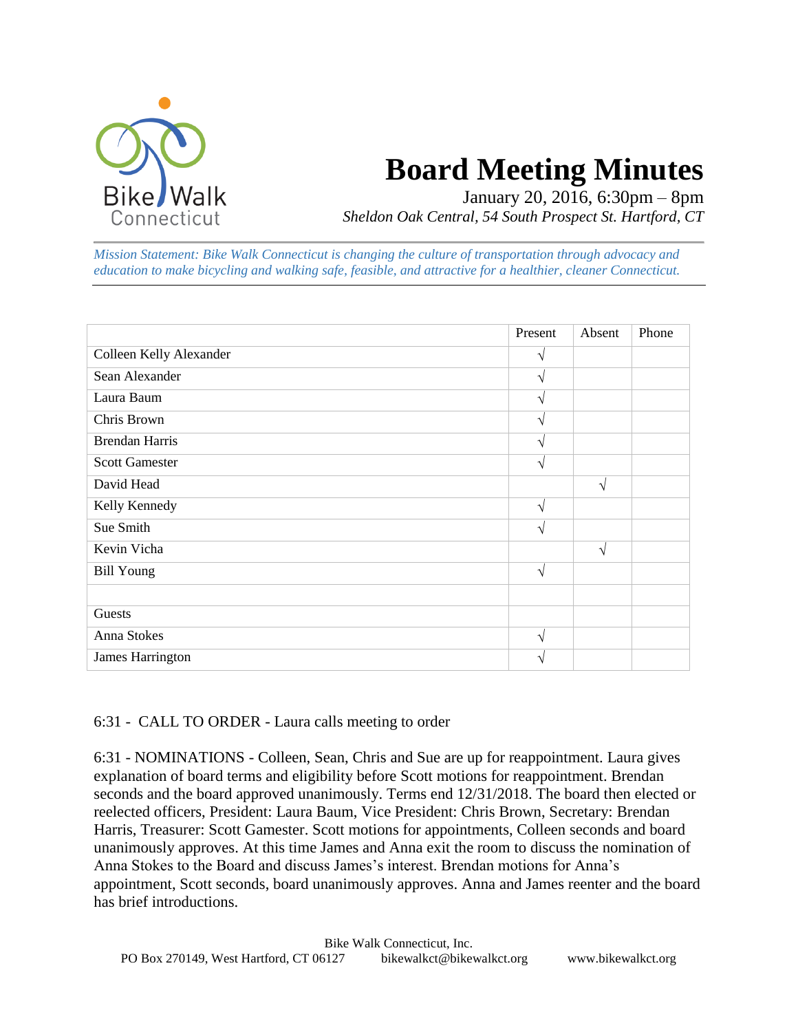

## **Board Meeting Minutes**

January 20, 2016, 6:30pm – 8pm *Sheldon Oak Central, 54 South Prospect St. Hartford, CT*

*Mission Statement: Bike Walk Connecticut is changing the culture of transportation through advocacy and education to make bicycling and walking safe, feasible, and attractive for a healthier, cleaner Connecticut.*

|                         | Present       | Absent | Phone |
|-------------------------|---------------|--------|-------|
| Colleen Kelly Alexander | $\mathcal{N}$ |        |       |
| Sean Alexander          | V             |        |       |
| Laura Baum              | V             |        |       |
| Chris Brown             | V             |        |       |
| <b>Brendan Harris</b>   | V             |        |       |
| <b>Scott Gamester</b>   | V             |        |       |
| David Head              |               | V      |       |
| Kelly Kennedy           | V             |        |       |
| Sue Smith               | $\mathcal{N}$ |        |       |
| Kevin Vicha             |               | N      |       |
| <b>Bill Young</b>       | $\sqrt{ }$    |        |       |
|                         |               |        |       |
| Guests                  |               |        |       |
| Anna Stokes             | $\sqrt{ }$    |        |       |
| James Harrington        | ٦             |        |       |

#### 6:31 - CALL TO ORDER - Laura calls meeting to order

6:31 - NOMINATIONS - Colleen, Sean, Chris and Sue are up for reappointment. Laura gives explanation of board terms and eligibility before Scott motions for reappointment. Brendan seconds and the board approved unanimously. Terms end 12/31/2018. The board then elected or reelected officers, President: Laura Baum, Vice President: Chris Brown, Secretary: Brendan Harris, Treasurer: Scott Gamester. Scott motions for appointments, Colleen seconds and board unanimously approves. At this time James and Anna exit the room to discuss the nomination of Anna Stokes to the Board and discuss James's interest. Brendan motions for Anna's appointment, Scott seconds, board unanimously approves. Anna and James reenter and the board has brief introductions.